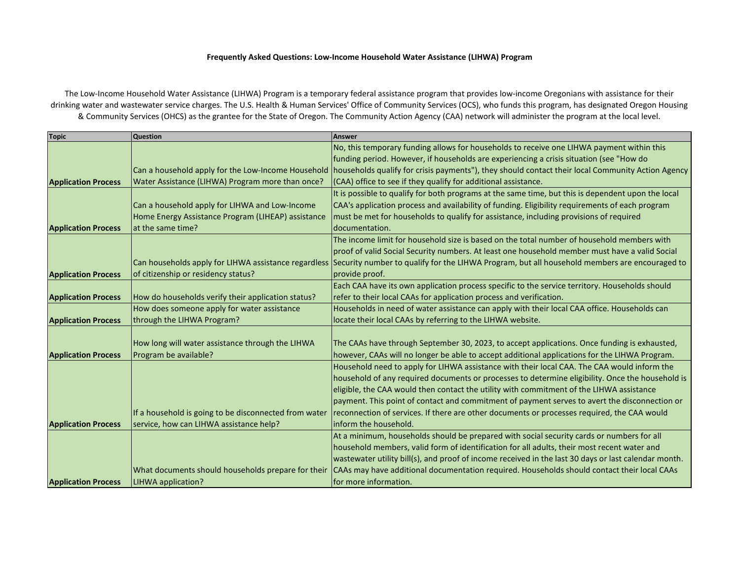## **Frequently Asked Questions: Low-Income Household Water Assistance (LIHWA) Program**

The Low-Income Household Water Assistance (LIHWA) Program is a temporary federal assistance program that provides low-income Oregonians with assistance for their drinking water and wastewater service charges. The U.S. Health & Human Services' Office of Community Services (OCS), who funds this program, has designated Oregon Housing & Community Services (OHCS) as the grantee for the State of Oregon. The Community Action Agency (CAA) network will administer the program at the local level.

| <b>Topic</b>               | <b>Question</b>                                       | Answer                                                                                                                                                 |
|----------------------------|-------------------------------------------------------|--------------------------------------------------------------------------------------------------------------------------------------------------------|
|                            |                                                       | No, this temporary funding allows for households to receive one LIHWA payment within this                                                              |
|                            |                                                       | funding period. However, if households are experiencing a crisis situation (see "How do                                                                |
|                            |                                                       | Can a household apply for the Low-Income Household   households qualify for crisis payments"), they should contact their local Community Action Agency |
| <b>Application Process</b> | Water Assistance (LIHWA) Program more than once?      | (CAA) office to see if they qualify for additional assistance.                                                                                         |
|                            |                                                       | It is possible to qualify for both programs at the same time, but this is dependent upon the local                                                     |
|                            | Can a household apply for LIHWA and Low-Income        | CAA's application process and availability of funding. Eligibility requirements of each program                                                        |
|                            | Home Energy Assistance Program (LIHEAP) assistance    | must be met for households to qualify for assistance, including provisions of required                                                                 |
| <b>Application Process</b> | lat the same time?                                    | documentation.                                                                                                                                         |
|                            |                                                       | The income limit for household size is based on the total number of household members with                                                             |
|                            |                                                       | proof of valid Social Security numbers. At least one household member must have a valid Social                                                         |
|                            |                                                       | Can households apply for LIHWA assistance regardless Security number to qualify for the LIHWA Program, but all household members are encouraged to     |
| <b>Application Process</b> | of citizenship or residency status?                   | provide proof.                                                                                                                                         |
|                            |                                                       | Each CAA have its own application process specific to the service territory. Households should                                                         |
| <b>Application Process</b> | How do households verify their application status?    | refer to their local CAAs for application process and verification.                                                                                    |
|                            | How does someone apply for water assistance           | Households in need of water assistance can apply with their local CAA office. Households can                                                           |
| <b>Application Process</b> | through the LIHWA Program?                            | locate their local CAAs by referring to the LIHWA website.                                                                                             |
|                            |                                                       |                                                                                                                                                        |
|                            | How long will water assistance through the LIHWA      | The CAAs have through September 30, 2023, to accept applications. Once funding is exhausted,                                                           |
| <b>Application Process</b> | Program be available?                                 | however, CAAs will no longer be able to accept additional applications for the LIHWA Program.                                                          |
|                            |                                                       | Household need to apply for LIHWA assistance with their local CAA. The CAA would inform the                                                            |
|                            |                                                       | household of any required documents or processes to determine eligibility. Once the household is                                                       |
|                            |                                                       | eligible, the CAA would then contact the utility with commitment of the LIHWA assistance                                                               |
|                            |                                                       | payment. This point of contact and commitment of payment serves to avert the disconnection or                                                          |
|                            | If a household is going to be disconnected from water | reconnection of services. If there are other documents or processes required, the CAA would                                                            |
| <b>Application Process</b> | service, how can LIHWA assistance help?               | linform the household.                                                                                                                                 |
|                            |                                                       | At a minimum, households should be prepared with social security cards or numbers for all                                                              |
|                            |                                                       | household members, valid form of identification for all adults, their most recent water and                                                            |
|                            |                                                       | wastewater utility bill(s), and proof of income received in the last 30 days or last calendar month.                                                   |
|                            | What documents should households prepare for their    | CAAs may have additional documentation required. Households should contact their local CAAs                                                            |
| <b>Application Process</b> | LIHWA application?                                    | for more information.                                                                                                                                  |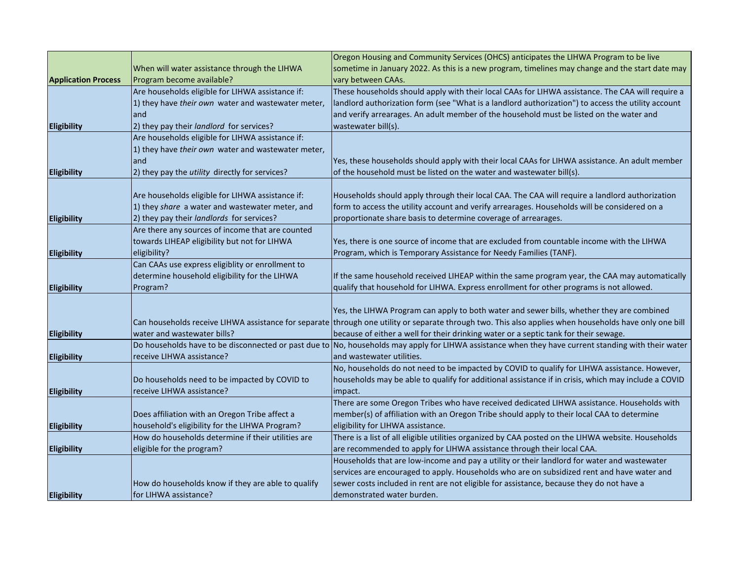|                            |                                                    | Oregon Housing and Community Services (OHCS) anticipates the LIHWA Program to be live                                                                  |
|----------------------------|----------------------------------------------------|--------------------------------------------------------------------------------------------------------------------------------------------------------|
|                            | When will water assistance through the LIHWA       | sometime in January 2022. As this is a new program, timelines may change and the start date may                                                        |
| <b>Application Process</b> | Program become available?                          | vary between CAAs.                                                                                                                                     |
|                            | Are households eligible for LIHWA assistance if:   | These households should apply with their local CAAs for LIHWA assistance. The CAA will require a                                                       |
|                            | 1) they have their own water and wastewater meter, | landlord authorization form (see "What is a landlord authorization") to access the utility account                                                     |
|                            | land                                               | and verify arrearages. An adult member of the household must be listed on the water and                                                                |
| <b>Eligibility</b>         | 2) they pay their landlord for services?           | wastewater bill(s).                                                                                                                                    |
|                            | Are households eligible for LIHWA assistance if:   |                                                                                                                                                        |
|                            | 1) they have their own water and wastewater meter, |                                                                                                                                                        |
|                            | land                                               | Yes, these households should apply with their local CAAs for LIHWA assistance. An adult member                                                         |
| <b>Eligibility</b>         | 2) they pay the utility directly for services?     | of the household must be listed on the water and wastewater bill(s).                                                                                   |
|                            |                                                    |                                                                                                                                                        |
|                            | Are households eligible for LIHWA assistance if:   | Households should apply through their local CAA. The CAA will require a landlord authorization                                                         |
|                            | 1) they share a water and wastewater meter, and    | form to access the utility account and verify arrearages. Households will be considered on a                                                           |
| <b>Eligibility</b>         | 2) they pay their landlords for services?          | proportionate share basis to determine coverage of arrearages.                                                                                         |
|                            | Are there any sources of income that are counted   |                                                                                                                                                        |
|                            | towards LIHEAP eligibility but not for LIHWA       | Yes, there is one source of income that are excluded from countable income with the LIHWA                                                              |
| <b>Eligibility</b>         | eligibility?                                       | Program, which is Temporary Assistance for Needy Families (TANF).                                                                                      |
|                            | Can CAAs use express eligiblity or enrollment to   |                                                                                                                                                        |
|                            | determine household eligibility for the LIHWA      | If the same household received LIHEAP within the same program year, the CAA may automatically                                                          |
| <b>Eligibility</b>         | Program?                                           | qualify that household for LIHWA. Express enrollment for other programs is not allowed.                                                                |
|                            |                                                    |                                                                                                                                                        |
|                            |                                                    | Yes, the LIHWA Program can apply to both water and sewer bills, whether they are combined                                                              |
|                            |                                                    | Can households receive LIHWA assistance for separate through one utility or separate through two. This also applies when households have only one bill |
| <b>Eligibility</b>         | water and wastewater bills?                        | because of either a well for their drinking water or a septic tank for their sewage.                                                                   |
|                            |                                                    | Do households have to be disconnected or past due to No, households may apply for LIHWA assistance when they have current standing with their water    |
| <b>Eligibility</b>         | receive LIHWA assistance?                          | and wastewater utilities.                                                                                                                              |
|                            |                                                    | No, households do not need to be impacted by COVID to qualify for LIHWA assistance. However,                                                           |
|                            | Do households need to be impacted by COVID to      | households may be able to qualify for additional assistance if in crisis, which may include a COVID                                                    |
| <b>Eligibility</b>         | receive LIHWA assistance?                          | impact.                                                                                                                                                |
|                            |                                                    | There are some Oregon Tribes who have received dedicated LIHWA assistance. Households with                                                             |
|                            | Does affiliation with an Oregon Tribe affect a     | member(s) of affiliation with an Oregon Tribe should apply to their local CAA to determine                                                             |
| <b>Eligibility</b>         | household's eligibility for the LIHWA Program?     | eligibility for LIHWA assistance.                                                                                                                      |
|                            | How do households determine if their utilities are | There is a list of all eligible utilities organized by CAA posted on the LIHWA website. Households                                                     |
| Eligibility                | eligible for the program?                          | are recommended to apply for LIHWA assistance through their local CAA.                                                                                 |
|                            |                                                    | Households that are low-income and pay a utility or their landlord for water and wastewater                                                            |
|                            |                                                    | services are encouraged to apply. Households who are on subsidized rent and have water and                                                             |
|                            | How do households know if they are able to qualify | sewer costs included in rent are not eligible for assistance, because they do not have a                                                               |
| <b>Eligibility</b>         | for LIHWA assistance?                              | demonstrated water burden.                                                                                                                             |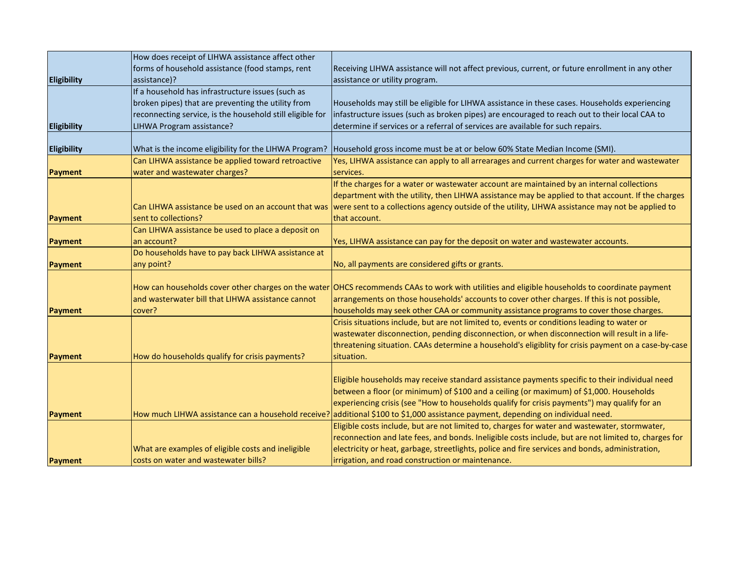|                    | How does receipt of LIHWA assistance affect other         |                                                                                                                                               |
|--------------------|-----------------------------------------------------------|-----------------------------------------------------------------------------------------------------------------------------------------------|
|                    | forms of household assistance (food stamps, rent          | Receiving LIHWA assistance will not affect previous, current, or future enrollment in any other                                               |
| <b>Eligibility</b> | assistance)?                                              | assistance or utility program.                                                                                                                |
|                    | If a household has infrastructure issues (such as         |                                                                                                                                               |
|                    | broken pipes) that are preventing the utility from        | Households may still be eligible for LIHWA assistance in these cases. Households experiencing                                                 |
|                    | reconnecting service, is the household still eligible for | infastructure issues (such as broken pipes) are encouraged to reach out to their local CAA to                                                 |
| <b>Eligibility</b> | LIHWA Program assistance?                                 | determine if services or a referral of services are available for such repairs.                                                               |
|                    |                                                           |                                                                                                                                               |
| <b>Eligibility</b> | What is the income eligibility for the LIHWA Program?     | Household gross income must be at or below 60% State Median Income (SMI).                                                                     |
|                    | Can LIHWA assistance be applied toward retroactive        | Yes, LIHWA assistance can apply to all arrearages and current charges for water and wastewater                                                |
| Payment            | water and wastewater charges?                             | services.                                                                                                                                     |
|                    |                                                           | If the charges for a water or wastewater account are maintained by an internal collections                                                    |
|                    |                                                           | department with the utility, then LIHWA assistance may be applied to that account. If the charges                                             |
|                    | Can LIHWA assistance be used on an account that was       | were sent to a collections agency outside of the utility, LIHWA assistance may not be applied to                                              |
| Payment            | sent to collections?                                      | that account.                                                                                                                                 |
|                    | Can LIHWA assistance be used to place a deposit on        |                                                                                                                                               |
| <b>Payment</b>     | an account?                                               | Yes, LIHWA assistance can pay for the deposit on water and wastewater accounts.                                                               |
|                    | Do households have to pay back LIHWA assistance at        |                                                                                                                                               |
| Payment            | any point?                                                | No, all payments are considered gifts or grants.                                                                                              |
|                    |                                                           |                                                                                                                                               |
|                    |                                                           | How can households cover other charges on the water OHCS recommends CAAs to work with utilities and eligible households to coordinate payment |
|                    | and wasterwater bill that LIHWA assistance cannot         | arrangements on those households' accounts to cover other charges. If this is not possible,                                                   |
| Payment            | cover?                                                    | households may seek other CAA or community assistance programs to cover those charges.                                                        |
|                    |                                                           | Crisis situations include, but are not limited to, events or conditions leading to water or                                                   |
|                    |                                                           | wastewater disconnection, pending disconnection, or when disconnection will result in a life-                                                 |
|                    |                                                           | threatening situation. CAAs determine a household's eligiblity for crisis payment on a case-by-case                                           |
| Payment            | How do households qualify for crisis payments?            | situation.                                                                                                                                    |
|                    |                                                           |                                                                                                                                               |
|                    |                                                           | Eligible households may receive standard assistance payments specific to their individual need                                                |
|                    |                                                           | between a floor (or minimum) of \$100 and a ceiling (or maximum) of \$1,000. Households                                                       |
|                    |                                                           | experiencing crisis (see "How to households qualify for crisis payments") may qualify for an                                                  |
| Payment            | How much LIHWA assistance can a household receive         | additional \$100 to \$1,000 assistance payment, depending on individual need.                                                                 |
|                    |                                                           | Eligible costs include, but are not limited to, charges for water and wastewater, stormwater,                                                 |
|                    |                                                           | reconnection and late fees, and bonds. Ineligible costs include, but are not limited to, charges for                                          |
|                    | What are examples of eligible costs and ineligible        | electricity or heat, garbage, streetlights, police and fire services and bonds, administration,                                               |
| Payment            | costs on water and wastewater bills?                      | irrigation, and road construction or maintenance.                                                                                             |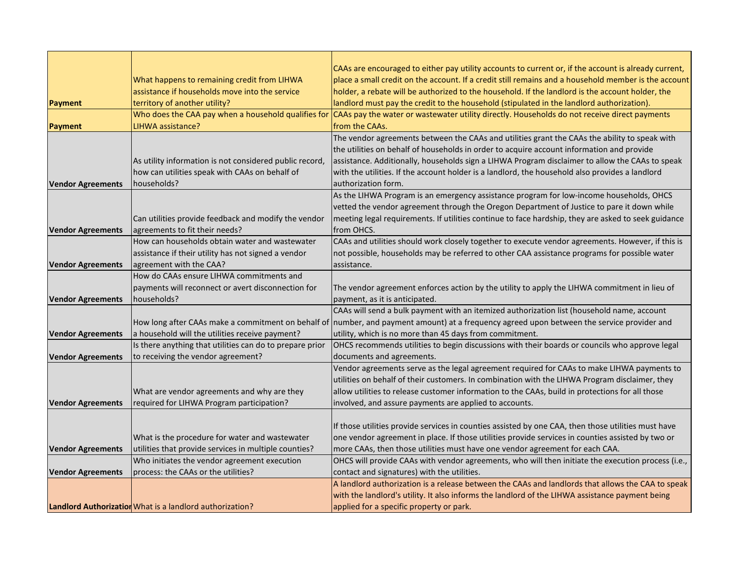|                          |                                                          | CAAs are encouraged to either pay utility accounts to current or, if the account is already current,                                       |
|--------------------------|----------------------------------------------------------|--------------------------------------------------------------------------------------------------------------------------------------------|
|                          | What happens to remaining credit from LIHWA              | place a small credit on the account. If a credit still remains and a household member is the account                                       |
|                          | assistance if households move into the service           | holder, a rebate will be authorized to the household. If the landlord is the account holder, the                                           |
| Payment                  | territory of another utility?                            | landlord must pay the credit to the household (stipulated in the landlord authorization).                                                  |
|                          | Who does the CAA pay when a household qualifies for      | CAAs pay the water or wastewater utility directly. Households do not receive direct payments                                               |
| <b>Payment</b>           | LIHWA assistance?                                        | from the CAAs.                                                                                                                             |
|                          |                                                          | The vendor agreements between the CAAs and utilities grant the CAAs the ability to speak with                                              |
|                          |                                                          | the utilities on behalf of households in order to acquire account information and provide                                                  |
|                          | As utility information is not considered public record,  | assistance. Additionally, households sign a LIHWA Program disclaimer to allow the CAAs to speak                                            |
|                          | how can utilities speak with CAAs on behalf of           | with the utilities. If the account holder is a landlord, the household also provides a landlord                                            |
| <b>Vendor Agreements</b> | households?                                              | authorization form.                                                                                                                        |
|                          |                                                          | As the LIHWA Program is an emergency assistance program for low-income households, OHCS                                                    |
|                          |                                                          | vetted the vendor agreement through the Oregon Department of Justice to pare it down while                                                 |
|                          | Can utilities provide feedback and modify the vendor     | meeting legal requirements. If utilities continue to face hardship, they are asked to seek guidance                                        |
| <b>Vendor Agreements</b> | agreements to fit their needs?                           | from OHCS.                                                                                                                                 |
|                          | How can households obtain water and wastewater           | CAAs and utilities should work closely together to execute vendor agreements. However, if this is                                          |
|                          | assistance if their utility has not signed a vendor      | not possible, households may be referred to other CAA assistance programs for possible water                                               |
| <b>Vendor Agreements</b> | agreement with the CAA?                                  | assistance.                                                                                                                                |
|                          | How do CAAs ensure LIHWA commitments and                 |                                                                                                                                            |
|                          | payments will reconnect or avert disconnection for       | The vendor agreement enforces action by the utility to apply the LIHWA commitment in lieu of                                               |
| <b>Vendor Agreements</b> | households?                                              | payment, as it is anticipated.                                                                                                             |
|                          |                                                          | CAAs will send a bulk payment with an itemized authorization list (household name, account                                                 |
|                          |                                                          | How long after CAAs make a commitment on behalf of number, and payment amount) at a frequency agreed upon between the service provider and |
| <b>Vendor Agreements</b> | a household will the utilities receive payment?          | utility, which is no more than 45 days from commitment.                                                                                    |
|                          | Is there anything that utilities can do to prepare prior | OHCS recommends utilities to begin discussions with their boards or councils who approve legal                                             |
| <b>Vendor Agreements</b> | to receiving the vendor agreement?                       | documents and agreements.                                                                                                                  |
|                          |                                                          | Vendor agreements serve as the legal agreement required for CAAs to make LIHWA payments to                                                 |
|                          |                                                          | utilities on behalf of their customers. In combination with the LIHWA Program disclaimer, they                                             |
|                          | What are vendor agreements and why are they              | allow utilities to release customer information to the CAAs, build in protections for all those                                            |
| <b>Vendor Agreements</b> | required for LIHWA Program participation?                | involved, and assure payments are applied to accounts.                                                                                     |
|                          |                                                          |                                                                                                                                            |
|                          |                                                          | If those utilities provide services in counties assisted by one CAA, then those utilities must have                                        |
|                          | What is the procedure for water and wastewater           | one vendor agreement in place. If those utilities provide services in counties assisted by two or                                          |
| <b>Vendor Agreements</b> | utilities that provide services in multiple counties?    | more CAAs, then those utilities must have one vendor agreement for each CAA.                                                               |
|                          | Who initiates the vendor agreement execution             | OHCS will provide CAAs with vendor agreements, who will then initiate the execution process (i.e.,                                         |
| <b>Vendor Agreements</b> | process: the CAAs or the utilities?                      | contact and signatures) with the utilities.                                                                                                |
|                          |                                                          | A landlord authorization is a release between the CAAs and landlords that allows the CAA to speak                                          |
|                          |                                                          | with the landlord's utility. It also informs the landlord of the LIHWA assistance payment being                                            |
|                          | Landlord Authorization What is a landlord authorization? | applied for a specific property or park.                                                                                                   |